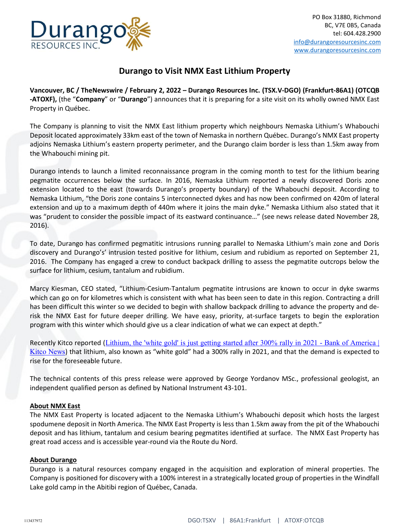

## Durango to Visit NMX East Lithium Property

Vancouver, BC / TheNewswire / February 2, 2022 – Durango Resources Inc. (TSX.V-DGO) (Frankfurt-86A1) (OTCQB -ATOXF), (the "Company" or "Durango") announces that it is preparing for a site visit on its wholly owned NMX East Property in Québec.

The Company is planning to visit the NMX East lithium property which neighbours Nemaska Lithium's Whabouchi Deposit located approximately 33km east of the town of Nemaska in northern Québec. Durango's NMX East property adjoins Nemaska Lithium's eastern property perimeter, and the Durango claim border is less than 1.5km away from the Whabouchi mining pit.

Durango intends to launch a limited reconnaissance program in the coming month to test for the lithium bearing pegmatite occurrences below the surface. In 2016, Nemaska Lithium reported a newly discovered Doris zone extension located to the east (towards Durango's property boundary) of the Whabouchi deposit. According to Nemaska Lithium, "the Doris zone contains 5 interconnected dykes and has now been confirmed on 420m of lateral extension and up to a maximum depth of 440m where it joins the main dyke." Nemaska Lithium also stated that it was "prudent to consider the possible impact of its eastward continuance…" (see news release dated November 28, 2016).

To date, Durango has confirmed pegmatitic intrusions running parallel to Nemaska Lithium's main zone and Doris discovery and Durango's' intrusion tested positive for lithium, cesium and rubidium as reported on September 21, 2016. The Company has engaged a crew to conduct backpack drilling to assess the pegmatite outcrops below the surface for lithium, cesium, tantalum and rubidium.

Marcy Kiesman, CEO stated, "Lithium-Cesium-Tantalum pegmatite intrusions are known to occur in dyke swarms which can go on for kilometres which is consistent with what has been seen to date in this region. Contracting a drill has been difficult this winter so we decided to begin with shallow backpack drilling to advance the property and derisk the NMX East for future deeper drilling. We have easy, priority, at-surface targets to begin the exploration program with this winter which should give us a clear indication of what we can expect at depth."

Recently Kitco reported (Lithium, the 'white gold' is just getting started after 300% rally in 2021 - Bank of America Kitco News) that lithium, also known as "white gold" had a 300% rally in 2021, and that the demand is expected to rise for the foreseeable future.

The technical contents of this press release were approved by George Yordanov MSc., professional geologist, an independent qualified person as defined by National Instrument 43-101.

## About NMX East

The NMX East Property is located adjacent to the Nemaska Lithium's Whabouchi deposit which hosts the largest spodumene deposit in North America. The NMX East Property is less than 1.5km away from the pit of the Whabouchi deposit and has lithium, tantalum and cesium bearing pegmatites identified at surface. The NMX East Property has great road access and is accessible year-round via the Route du Nord.

## About Durango

Durango is a natural resources company engaged in the acquisition and exploration of mineral properties. The Company is positioned for discovery with a 100% interest in a strategically located group of properties in the Windfall Lake gold camp in the Abitibi region of Québec, Canada.